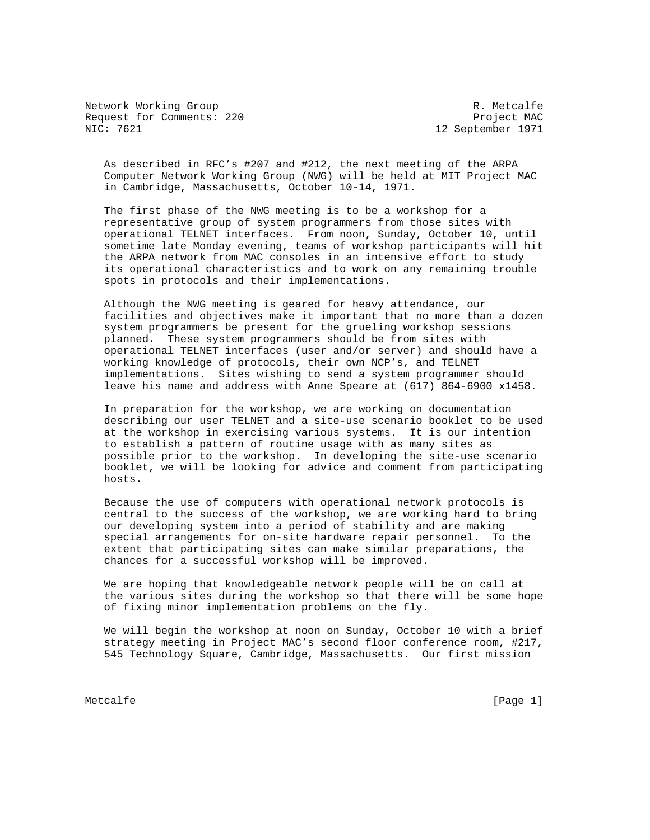Network Working Group and the set of the set of the set of the R. Metcalfe Request for Comments: 220 Project MAC<br>NIC: 7621 Project MAC

12 September 1971

 As described in RFC's #207 and #212, the next meeting of the ARPA Computer Network Working Group (NWG) will be held at MIT Project MAC in Cambridge, Massachusetts, October 10-14, 1971.

 The first phase of the NWG meeting is to be a workshop for a representative group of system programmers from those sites with operational TELNET interfaces. From noon, Sunday, October 10, until sometime late Monday evening, teams of workshop participants will hit the ARPA network from MAC consoles in an intensive effort to study its operational characteristics and to work on any remaining trouble spots in protocols and their implementations.

 Although the NWG meeting is geared for heavy attendance, our facilities and objectives make it important that no more than a dozen system programmers be present for the grueling workshop sessions planned. These system programmers should be from sites with operational TELNET interfaces (user and/or server) and should have a working knowledge of protocols, their own NCP's, and TELNET implementations. Sites wishing to send a system programmer should leave his name and address with Anne Speare at (617) 864-6900 x1458.

 In preparation for the workshop, we are working on documentation describing our user TELNET and a site-use scenario booklet to be used at the workshop in exercising various systems. It is our intention to establish a pattern of routine usage with as many sites as possible prior to the workshop. In developing the site-use scenario booklet, we will be looking for advice and comment from participating hosts.

 Because the use of computers with operational network protocols is central to the success of the workshop, we are working hard to bring our developing system into a period of stability and are making special arrangements for on-site hardware repair personnel. To the extent that participating sites can make similar preparations, the chances for a successful workshop will be improved.

 We are hoping that knowledgeable network people will be on call at the various sites during the workshop so that there will be some hope of fixing minor implementation problems on the fly.

 We will begin the workshop at noon on Sunday, October 10 with a brief strategy meeting in Project MAC's second floor conference room, #217, 545 Technology Square, Cambridge, Massachusetts. Our first mission

Metcalfe [Page 1] [Page 1]